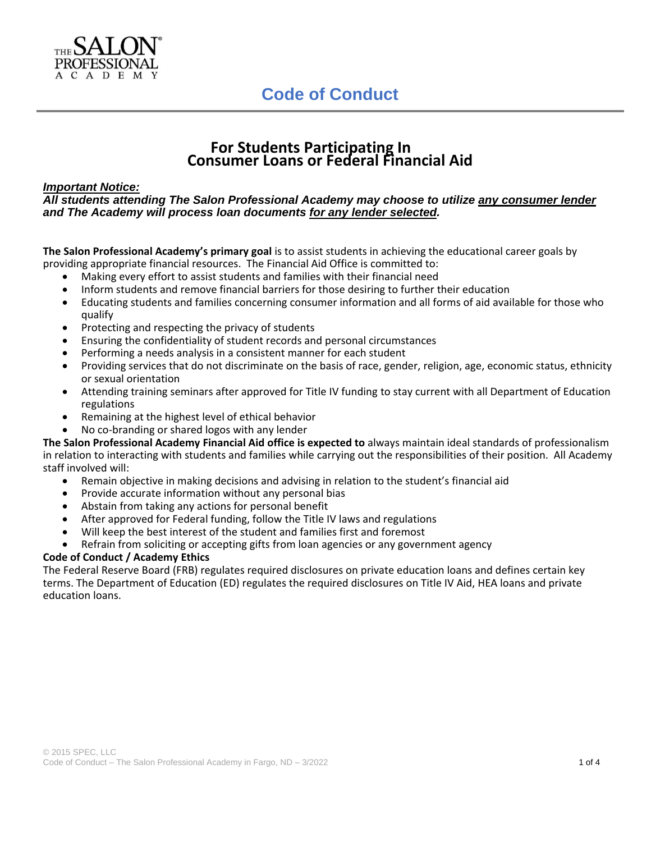

### **For Students Participating In Consumer Loans or Federal Financial Aid**

### *Important Notice:*

### *All students attending The Salon Professional Academy may choose to utilize any consumer lender and The Academy will process loan documents for any lender selected.*

**The Salon Professional Academy's primary goal** is to assist students in achieving the educational career goals by providing appropriate financial resources. The Financial Aid Office is committed to:

- Making every effort to assist students and families with their financial need
- Inform students and remove financial barriers for those desiring to further their education
- Educating students and families concerning consumer information and all forms of aid available for those who qualify
- Protecting and respecting the privacy of students
- Ensuring the confidentiality of student records and personal circumstances
- Performing a needs analysis in a consistent manner for each student
- Providing services that do not discriminate on the basis of race, gender, religion, age, economic status, ethnicity or sexual orientation
- Attending training seminars after approved for Title IV funding to stay current with all Department of Education regulations
- Remaining at the highest level of ethical behavior
- No co-branding or shared logos with any lender

**The Salon Professional Academy Financial Aid office is expected to** always maintain ideal standards of professionalism in relation to interacting with students and families while carrying out the responsibilities of their position. All Academy staff involved will:

- Remain objective in making decisions and advising in relation to the student's financial aid
- Provide accurate information without any personal bias
- Abstain from taking any actions for personal benefit
- After approved for Federal funding, follow the Title IV laws and regulations
- Will keep the best interest of the student and families first and foremost
- Refrain from soliciting or accepting gifts from loan agencies or any government agency

### **Code of Conduct / Academy Ethics**

The Federal Reserve Board (FRB) regulates required disclosures on private education loans and defines certain key terms. The Department of Education (ED) regulates the required disclosures on Title IV Aid, HEA loans and private education loans.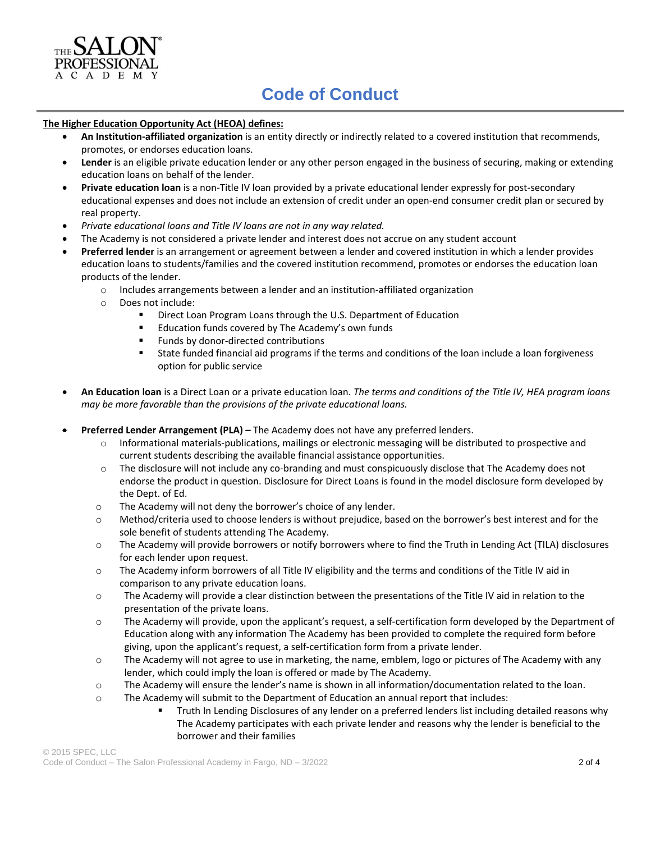

## **Code of Conduct**

#### **The Higher Education Opportunity Act (HEOA) defines:**

- **An Institution-affiliated organization** is an entity directly or indirectly related to a covered institution that recommends, promotes, or endorses education loans.
- **Lender** is an eligible private education lender or any other person engaged in the business of securing, making or extending education loans on behalf of the lender.
- **Private education loan** is a non-Title IV loan provided by a private educational lender expressly for post-secondary educational expenses and does not include an extension of credit under an open-end consumer credit plan or secured by real property.
- *Private educational loans and Title IV loans are not in any way related.*
- The Academy is not considered a private lender and interest does not accrue on any student account
- **Preferred lender** is an arrangement or agreement between a lender and covered institution in which a lender provides education loans to students/families and the covered institution recommend, promotes or endorses the education loan products of the lender.
	- o Includes arrangements between a lender and an institution-affiliated organization
	- o Does not include:
		- **E** Direct Loan Program Loans through the U.S. Department of Education
		- Education funds covered by The Academy's own funds
		- Funds by donor-directed contributions
		- State funded financial aid programs if the terms and conditions of the loan include a loan forgiveness option for public service
- **An Education loan** is a Direct Loan or a private education loan. *The terms and conditions of the Title IV, HEA program loans may be more favorable than the provisions of the private educational loans.*
- **Preferred Lender Arrangement (PLA) –** The Academy does not have any preferred lenders.
	- o Informational materials-publications, mailings or electronic messaging will be distributed to prospective and current students describing the available financial assistance opportunities.
	- o The disclosure will not include any co-branding and must conspicuously disclose that The Academy does not endorse the product in question. Disclosure for Direct Loans is found in the model disclosure form developed by the Dept. of Ed.
	- o The Academy will not deny the borrower's choice of any lender.
	- o Method/criteria used to choose lenders is without prejudice, based on the borrower's best interest and for the sole benefit of students attending The Academy.
	- o The Academy will provide borrowers or notify borrowers where to find the Truth in Lending Act (TILA) disclosures for each lender upon request.
	- o The Academy inform borrowers of all Title IV eligibility and the terms and conditions of the Title IV aid in comparison to any private education loans.
	- o The Academy will provide a clear distinction between the presentations of the Title IV aid in relation to the presentation of the private loans.
	- o The Academy will provide, upon the applicant's request, a self-certification form developed by the Department of Education along with any information The Academy has been provided to complete the required form before giving, upon the applicant's request, a self-certification form from a private lender.
	- o The Academy will not agree to use in marketing, the name, emblem, logo or pictures of The Academy with any lender, which could imply the loan is offered or made by The Academy.
	- o The Academy will ensure the lender's name is shown in all information/documentation related to the loan.
	- o The Academy will submit to the Department of Education an annual report that includes:
		- Truth In Lending Disclosures of any lender on a preferred lenders list including detailed reasons why The Academy participates with each private lender and reasons why the lender is beneficial to the borrower and their families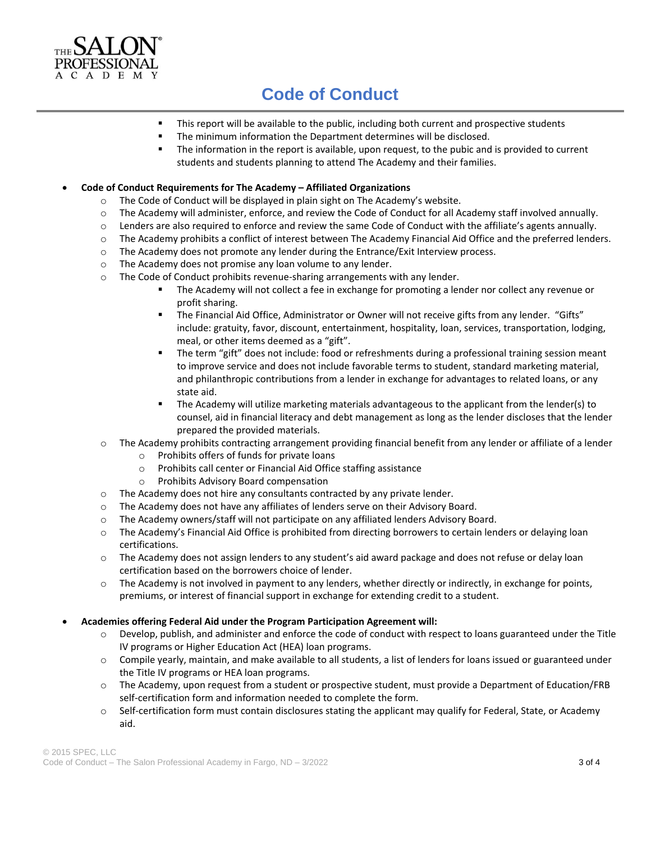

# **Code of Conduct**

- This report will be available to the public, including both current and prospective students
- The minimum information the Department determines will be disclosed.
- The information in the report is available, upon request, to the pubic and is provided to current students and students planning to attend The Academy and their families.

#### • **Code of Conduct Requirements for The Academy – Affiliated Organizations**

- o The Code of Conduct will be displayed in plain sight on The Academy's website.
- o The Academy will administer, enforce, and review the Code of Conduct for all Academy staff involved annually.
- o Lenders are also required to enforce and review the same Code of Conduct with the affiliate's agents annually.
- o The Academy prohibits a conflict of interest between The Academy Financial Aid Office and the preferred lenders.
- o The Academy does not promote any lender during the Entrance/Exit Interview process.
- o The Academy does not promise any loan volume to any lender.
- o The Code of Conduct prohibits revenue-sharing arrangements with any lender.
	- The Academy will not collect a fee in exchange for promoting a lender nor collect any revenue or profit sharing.
	- The Financial Aid Office, Administrator or Owner will not receive gifts from any lender. "Gifts" include: gratuity, favor, discount, entertainment, hospitality, loan, services, transportation, lodging, meal, or other items deemed as a "gift".
	- The term "gift" does not include: food or refreshments during a professional training session meant to improve service and does not include favorable terms to student, standard marketing material, and philanthropic contributions from a lender in exchange for advantages to related loans, or any state aid.
	- The Academy will utilize marketing materials advantageous to the applicant from the lender(s) to counsel, aid in financial literacy and debt management as long as the lender discloses that the lender prepared the provided materials.
- o The Academy prohibits contracting arrangement providing financial benefit from any lender or affiliate of a lender
	- o Prohibits offers of funds for private loans
	- o Prohibits call center or Financial Aid Office staffing assistance
	- o Prohibits Advisory Board compensation
- o The Academy does not hire any consultants contracted by any private lender.
- o The Academy does not have any affiliates of lenders serve on their Advisory Board.
- o The Academy owners/staff will not participate on any affiliated lenders Advisory Board.
- o The Academy's Financial Aid Office is prohibited from directing borrowers to certain lenders or delaying loan certifications.
- o The Academy does not assign lenders to any student's aid award package and does not refuse or delay loan certification based on the borrowers choice of lender.
- $\circ$  The Academy is not involved in payment to any lenders, whether directly or indirectly, in exchange for points, premiums, or interest of financial support in exchange for extending credit to a student.

#### • **Academies offering Federal Aid under the Program Participation Agreement will:**

- o Develop, publish, and administer and enforce the code of conduct with respect to loans guaranteed under the Title IV programs or Higher Education Act (HEA) loan programs.
- o Compile yearly, maintain, and make available to all students, a list of lenders for loans issued or guaranteed under the Title IV programs or HEA loan programs.
- o The Academy, upon request from a student or prospective student, must provide a Department of Education/FRB self-certification form and information needed to complete the form.
- o Self-certification form must contain disclosures stating the applicant may qualify for Federal, State, or Academy aid.